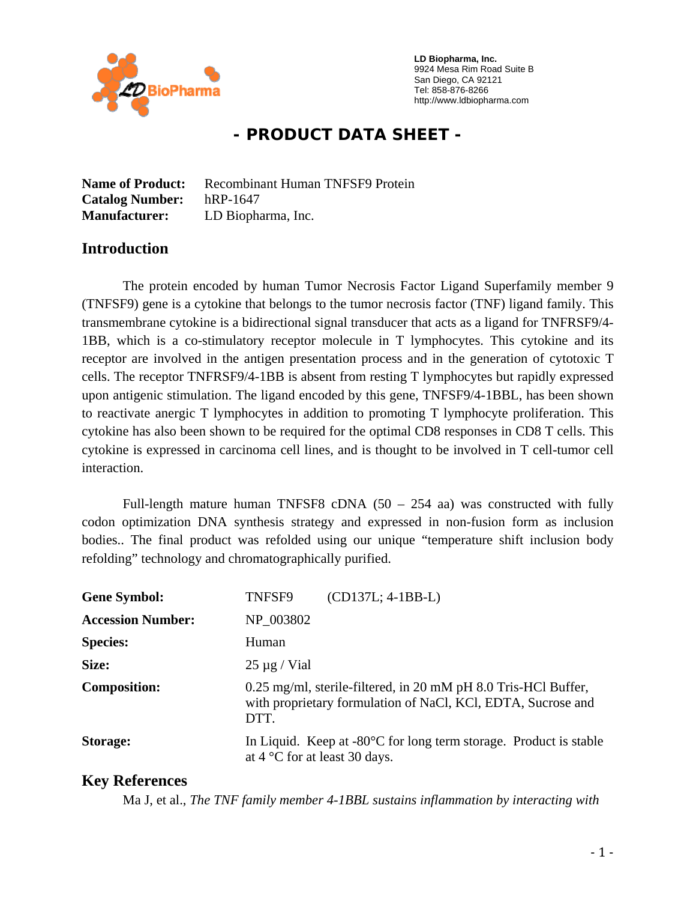

 **LD Biopharma, Inc.**  9924 Mesa Rim Road Suite B San Diego, CA 92121 Tel: 858-876-8266 http://www.ldbiopharma.com

# **- PRODUCT DATA SHEET -**

**Name of Product:** Recombinant Human TNFSF9 Protein **Catalog Number:** hRP-1647 **Manufacturer:** LD Biopharma, Inc.

### **Introduction**

The protein encoded by human Tumor Necrosis Factor Ligand Superfamily member 9 (TNFSF9) gene is a cytokine that belongs to the tumor necrosis factor (TNF) ligand family. This transmembrane cytokine is a bidirectional signal transducer that acts as a ligand for TNFRSF9/4- 1BB, which is a co-stimulatory receptor molecule in T lymphocytes. This cytokine and its receptor are involved in the antigen presentation process and in the generation of cytotoxic T cells. The receptor TNFRSF9/4-1BB is absent from resting T lymphocytes but rapidly expressed upon antigenic stimulation. The ligand encoded by this gene, TNFSF9/4-1BBL, has been shown to reactivate anergic T lymphocytes in addition to promoting T lymphocyte proliferation. This cytokine has also been shown to be required for the optimal CD8 responses in CD8 T cells. This cytokine is expressed in carcinoma cell lines, and is thought to be involved in T cell-tumor cell interaction.

Full-length mature human TNFSF8 cDNA  $(50 - 254)$  aa) was constructed with fully codon optimization DNA synthesis strategy and expressed in non-fusion form as inclusion bodies.. The final product was refolded using our unique "temperature shift inclusion body refolding" technology and chromatographically purified.

| <b>Gene Symbol:</b>      | $(CD137L; 4-1BB-L)$<br>TNFSF9                                                                                                          |
|--------------------------|----------------------------------------------------------------------------------------------------------------------------------------|
| <b>Accession Number:</b> | NP 003802                                                                                                                              |
| <b>Species:</b>          | Human                                                                                                                                  |
| Size:                    | $25 \mu g$ / Vial                                                                                                                      |
| <b>Composition:</b>      | 0.25 mg/ml, sterile-filtered, in 20 mM pH 8.0 Tris-HCl Buffer,<br>with proprietary formulation of NaCl, KCl, EDTA, Sucrose and<br>DTT. |
| Storage:                 | In Liquid. Keep at $-80^{\circ}$ C for long term storage. Product is stable<br>at $4^{\circ}$ C for at least 30 days.                  |

### **Key References**

Ma J, et al., *The TNF family member 4-1BBL sustains inflammation by interacting with*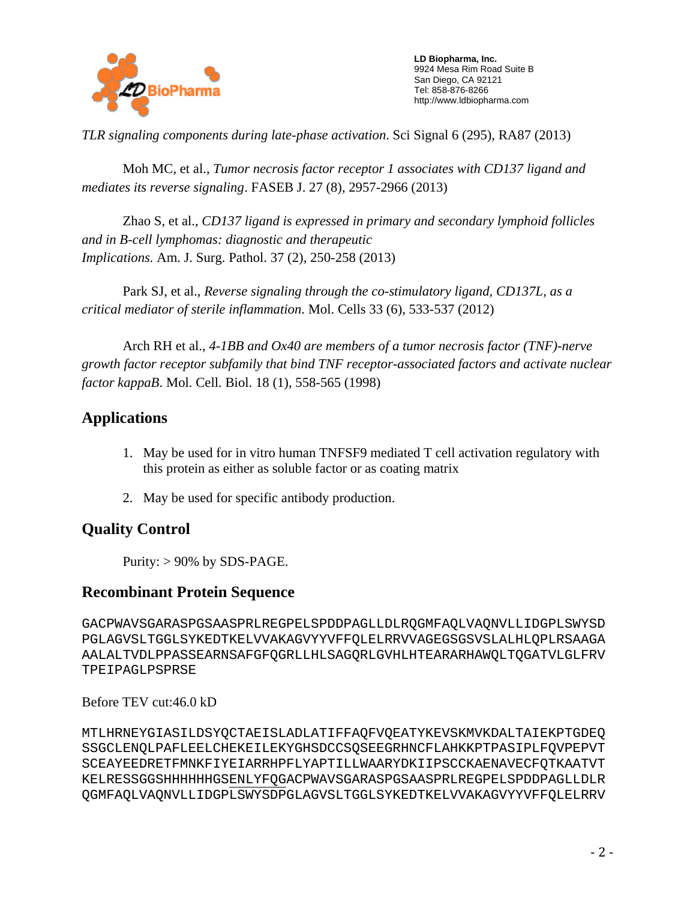

 **LD Biopharma, Inc.**  9924 Mesa Rim Road Suite B San Diego, CA 92121 Tel: 858-876-8266 http://www.ldbiopharma.com

*TLR signaling components during late-phase activation*. Sci Signal 6 (295), RA87 (2013)

Moh MC, et al., *Tumor necrosis factor receptor 1 associates with CD137 ligand and mediates its reverse signaling*. FASEB J. 27 (8), 2957-2966 (2013)

Zhao S, et al., *CD137 ligand is expressed in primary and secondary lymphoid follicles and in B-cell lymphomas: diagnostic and therapeutic Implications.* Am. J. Surg. Pathol. 37 (2), 250-258 (2013)

Park SJ, et al., *Reverse signaling through the co-stimulatory ligand, CD137L, as a critical mediator of sterile inflammation*. Mol. Cells 33 (6), 533-537 (2012)

Arch RH et al., *4-1BB and Ox40 are members of a tumor necrosis factor (TNF)-nerve growth factor receptor subfamily that bind TNF receptor-associated factors and activate nuclear factor kappaB*. Mol. Cell. Biol. 18 (1), 558-565 (1998)

## **Applications**

- 1. May be used for in vitro human TNFSF9 mediated T cell activation regulatory with this protein as either as soluble factor or as coating matrix
- 2. May be used for specific antibody production.

### **Quality Control**

Purity:  $> 90\%$  by SDS-PAGE.

### **Recombinant Protein Sequence**

GACPWAVSGARASPGSAASPRLREGPELSPDDPAGLLDLRQGMFAQLVAQNVLLIDGPLSWYSD PGLAGVSLTGGLSYKEDTKELVVAKAGVYYVFFQLELRRVVAGEGSGSVSLALHLQPLRSAAGA AALALTVDLPPASSEARNSAFGFQGRLLHLSAGQRLGVHLHTEARARHAWQLTQGATVLGLFRV TPEIPAGLPSPRSE

Before TEV cut:46.0 kD

MTLHRNEYGIASILDSYQCTAEISLADLATIFFAQFVQEATYKEVSKMVKDALTAIEKPTGDEQ SSGCLENQLPAFLEELCHEKEILEKYGHSDCCSQSEEGRHNCFLAHKKPTPASIPLFQVPEPVT SCEAYEEDRETFMNKFIYEIARRHPFLYAPTILLWAARYDKIIPSCCKAENAVECFQTKAATVT KELRESSGGSHHHHHHGSENLYFQGACPWAVSGARASPGSAASPRLREGPELSPDDPAGLLDLR QGMFAQLVAQNVLLIDGPLSWYSDPGLAGVSLTGGLSYKEDTKELVVAKAGVYYVFFQLELRRV